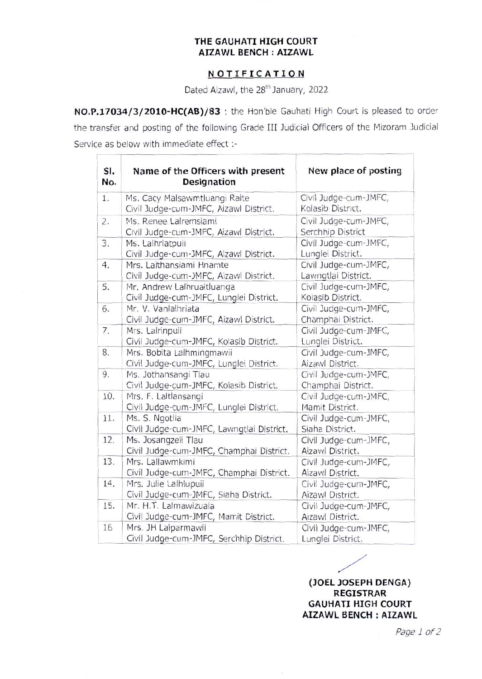## **THE GAUHATI HIGH COURT AIZAWL BENCH : AIZAWL**

## **NOTIFICATION**

Dated Aizawl, the 28<sup>th</sup> January, 2022

**NO.P.17034/3/2010-HC{AB)/83 :** the Hon'ble Gauhati High Court is pleased to order the transfer and posting of the following Grade III Judicial Officers of the Mizoram Judicial Service as below with immediate effect :-

 $\leftarrow$ 

| SI.<br>No. | Name of the Officers with present<br><b>Designation</b> | New place of posting  |
|------------|---------------------------------------------------------|-----------------------|
| 1.         | Ms. Cacy Malsawmtluangi Ralte                           | Civil Judge-cum-JMFC, |
|            | Civil Judge-cum-JMFC, Aizawl District.                  | Kolasib District.     |
| 2.         | Ms. Renee Lalremsiami                                   | Civil Judge-cum-JMFC, |
|            | Civil Judge-cum-JMFC, Aizawl District.                  | Serchhip District     |
| 3.         | Ms. Lalhriatpuii                                        | Civil Judge-cum-JMFC, |
|            | Civil Judge-cum-JMFC, Aizawl District.                  | Lunglei District.     |
| 4.         | Mrs. Lalthansiami Hnamte                                | Civil Judge-cum-JMFC, |
|            | Civil Judge-cum-JMFC, Aizawl District.                  | Lawngtlai District.   |
| 5.         | Mr. Andrew Lalhruaitluanga                              | Civil Judge-cum-JMFC, |
|            | Civil Judge-cum-JMFC, Lunglei District.                 | Kolasib District.     |
| 6.         | Mr. V. Vanlalhriata                                     | Civil Judge-cum-JMFC, |
|            | Civil Judge-cum-JMFC, Aizawl District.                  | Champhai District.    |
| 7.         | Mrs. Lalrinpuii                                         | Civil Judge-cum-JMFC, |
|            | Civil Judge-cum-JMFC, Kolasib District.                 | Lunglei District.     |
| 8.         | Mrs. Bobita Lalhmingmawii                               | Civil Judge-cum-JMFC, |
|            | Civil Judge-cum-JMFC, Lunglei District.                 | Aizawl District.      |
| 9.         | Ms. Jothansangi Tlau                                    | Civil Judge-cum-JMFC, |
|            | Civil Judge-cum-JMFC, Kolasib District.                 | Champhai District.    |
| 10.        | Mrs. F. Laltlansangi                                    | Civil Judge-cum-JMFC, |
|            | Civil Judge-cum-JMFC, Lunglei District.                 | Mamit District.       |
| 11.        | Ms. S. Ngotlia                                          | Civil Judge-cum-JMFC, |
|            | Civil Judge-cum-JMFC, Lawngtlai District.               | Siaha District.       |
| 12.        | Ms. Josangzeli Tlau                                     | Civil Judge-cum-JMFC, |
|            | Civil Judge-cum-JMFC, Champhai District.                | Aizawl District.      |
| 13.        | Mrs. Lallawmkimi                                        | Civil Judge-cum-JMFC, |
|            | Civil Judge-cum-JMFC, Champhai District.                | Aizawl District.      |
| 14.        | Mrs. Julie Lalhlupuii                                   | Civil Judge-cum-JMFC, |
|            | Civil Judge-cum-JMFC, Siaha District.                   | Aizawl District.      |
| 15.        | Mr. H.T. Lalmawizuala                                   | Civil Judge-cum-JMFC, |
|            | Civil Judge-cum-JMFC, Mamit District.                   | Aizawl District.      |
| 16         | Mrs. JH Lalparmawii                                     | Civil Judge-cum-JMFC, |
|            | Civil Judge-cum-JMFC, Serchhip District.                | Lunglei District.     |

**(JOEL JOSEPH DENGA) REGISTRAR GAUHATI HIGH COURT AIZAWL BENCH : AIZAWL** 

*Page 1of2*